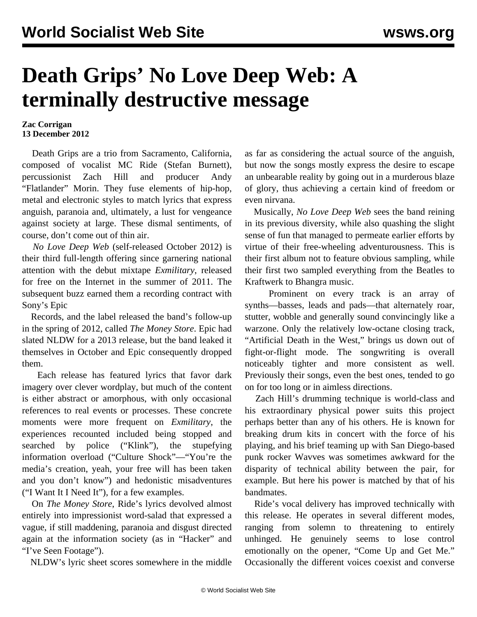## **Death Grips' No Love Deep Web: A terminally destructive message**

## **Zac Corrigan 13 December 2012**

 Death Grips are a trio from Sacramento, California, composed of vocalist MC Ride (Stefan Burnett), percussionist Zach Hill and producer Andy "Flatlander" Morin. They fuse elements of hip-hop, metal and electronic styles to match lyrics that express anguish, paranoia and, ultimately, a lust for vengeance against society at large. These dismal sentiments, of course, don't come out of thin air.

 *No Love Deep Web* (self-released October 2012) is their third full-length offering since garnering national attention with the debut mixtape *Exmilitary*, released for free on the Internet in the summer of 2011. The subsequent buzz earned them a recording contract with Sony's Epic

 Records, and the label released the band's follow-up in the spring of 2012, called *The Money Store*. Epic had slated NLDW for a 2013 release, but the band leaked it themselves in October and Epic consequently dropped them.

 Each release has featured lyrics that favor dark imagery over clever wordplay, but much of the content is either abstract or amorphous, with only occasional references to real events or processes. These concrete moments were more frequent on *Exmilitary*, the experiences recounted included being stopped and searched by police ("Klink"), the stupefying information overload ("Culture Shock"—"You're the media's creation, yeah, your free will has been taken and you don't know") and hedonistic misadventures ("I Want It I Need It"), for a few examples.

 On *The Money Store*, Ride's lyrics devolved almost entirely into impressionist word-salad that expressed a vague, if still maddening, paranoia and disgust directed again at the information society (as in "Hacker" and "I've Seen Footage").

NLDW's lyric sheet scores somewhere in the middle

as far as considering the actual source of the anguish, but now the songs mostly express the desire to escape an unbearable reality by going out in a murderous blaze of glory, thus achieving a certain kind of freedom or even nirvana.

 Musically, *No Love Deep Web* sees the band reining in its previous diversity, while also quashing the slight sense of fun that managed to permeate earlier efforts by virtue of their free-wheeling adventurousness. This is their first album not to feature obvious sampling, while their first two sampled everything from the Beatles to Kraftwerk to Bhangra music.

 Prominent on every track is an array of synths—basses, leads and pads—that alternately roar, stutter, wobble and generally sound convincingly like a warzone. Only the relatively low-octane closing track, "Artificial Death in the West," brings us down out of fight-or-flight mode. The songwriting is overall noticeably tighter and more consistent as well. Previously their songs, even the best ones, tended to go on for too long or in aimless directions.

 Zach Hill's drumming technique is world-class and his extraordinary physical power suits this project perhaps better than any of his others. He is known for breaking drum kits in concert with the force of his playing, and his brief teaming up with San Diego-based punk rocker Wavves was sometimes awkward for the disparity of technical ability between the pair, for example. But here his power is matched by that of his bandmates.

 Ride's vocal delivery has improved technically with this release. He operates in several different modes, ranging from solemn to threatening to entirely unhinged. He genuinely seems to lose control emotionally on the opener, "Come Up and Get Me." Occasionally the different voices coexist and converse